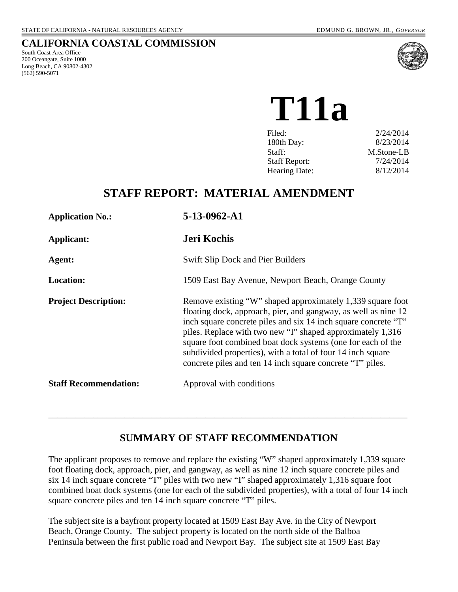#### **CALIFORNIA COASTAL COMMISSION**

South Coast Area Office 200 Oceangate, Suite 1000 Long Beach, CA 90802-4302 (562) 590-5071



**T11a**

| Filed:               | 2/24/2014  |
|----------------------|------------|
| 180th Day:           | 8/23/2014  |
| Staff:               | M.Stone-LB |
| <b>Staff Report:</b> | 7/24/2014  |
| Hearing Date:        | 8/12/2014  |
|                      |            |

## **STAFF REPORT: MATERIAL AMENDMENT**

| <b>Application No.:</b>      | 5-13-0962-A1                                                                                                                                                                                                                                                                                                                                                                                                                                            |
|------------------------------|---------------------------------------------------------------------------------------------------------------------------------------------------------------------------------------------------------------------------------------------------------------------------------------------------------------------------------------------------------------------------------------------------------------------------------------------------------|
| <b>Applicant:</b>            | <b>Jeri Kochis</b>                                                                                                                                                                                                                                                                                                                                                                                                                                      |
| Agent:                       | <b>Swift Slip Dock and Pier Builders</b>                                                                                                                                                                                                                                                                                                                                                                                                                |
| <b>Location:</b>             | 1509 East Bay Avenue, Newport Beach, Orange County                                                                                                                                                                                                                                                                                                                                                                                                      |
| <b>Project Description:</b>  | Remove existing "W" shaped approximately 1,339 square foot<br>floating dock, approach, pier, and gangway, as well as nine 12<br>inch square concrete piles and six 14 inch square concrete "T"<br>piles. Replace with two new "I" shaped approximately 1,316<br>square foot combined boat dock systems (one for each of the<br>subdivided properties), with a total of four 14 inch square<br>concrete piles and ten 14 inch square concrete "T" piles. |
| <b>Staff Recommendation:</b> | Approval with conditions                                                                                                                                                                                                                                                                                                                                                                                                                                |

## **SUMMARY OF STAFF RECOMMENDATION**

\_\_\_\_\_\_\_\_\_\_\_\_\_\_\_\_\_\_\_\_\_\_\_\_\_\_\_\_\_\_\_\_\_\_\_\_\_\_\_\_\_\_\_\_\_\_\_\_\_\_\_\_\_\_\_\_\_\_\_\_\_\_\_\_\_\_\_\_\_\_\_\_\_\_\_\_\_\_\_\_

The applicant proposes to remove and replace the existing "W" shaped approximately 1,339 square foot floating dock, approach, pier, and gangway, as well as nine 12 inch square concrete piles and six 14 inch square concrete "T" piles with two new "I" shaped approximately 1,316 square foot combined boat dock systems (one for each of the subdivided properties), with a total of four 14 inch square concrete piles and ten 14 inch square concrete "T" piles.

The subject site is a bayfront property located at 1509 East Bay Ave. in the City of Newport Beach, Orange County. The subject property is located on the north side of the Balboa Peninsula between the first public road and Newport Bay. The subject site at 1509 East Bay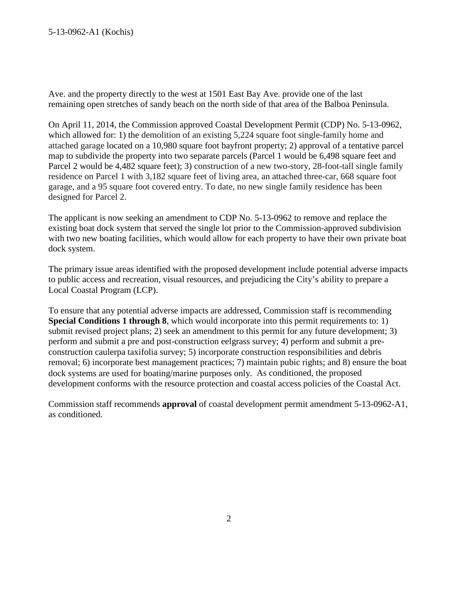Ave. and the property directly to the west at 1501 East Bay Ave. provide one of the last remaining open stretches of sandy beach on the north side of that area of the Balboa Peninsula.

On April 11, 2014, the Commission approved Coastal Development Permit (CDP) No. 5-13-0962, which allowed for: 1) the demolition of an existing 5,224 square foot single-family home and attached garage located on a 10,980 square foot bayfront property; 2) approval of a tentative parcel map to subdivide the property into two separate parcels (Parcel 1 would be 6,498 square feet and Parcel 2 would be 4,482 square feet); 3) construction of a new two-story, 28-foot-tall single family residence on Parcel 1 with 3,182 square feet of living area, an attached three-car, 668 square foot garage, and a 95 square foot covered entry. To date, no new single family residence has been designed for Parcel 2.

The applicant is now seeking an amendment to CDP No. 5-13-0962 to remove and replace the existing boat dock system that served the single lot prior to the Commission-approved subdivision with two new boating facilities, which would allow for each property to have their own private boat dock system.

The primary issue areas identified with the proposed development include potential adverse impacts to public access and recreation, visual resources, and prejudicing the City's ability to prepare a Local Coastal Program (LCP).

To ensure that any potential adverse impacts are addressed, Commission staff is recommending **Special Conditions 1 through 8**, which would incorporate into this permit requirements to: 1) submit revised project plans; 2) seek an amendment to this permit for any future development; 3) perform and submit a pre and post-construction eelgrass survey; 4) perform and submit a preconstruction caulerpa taxifolia survey; 5) incorporate construction responsibilities and debris removal; 6) incorporate best management practices; 7) maintain pubic rights; and 8) ensure the boat dock systems are used for boating/marine purposes only. As conditioned, the proposed development conforms with the resource protection and coastal access policies of the Coastal Act.

Commission staff recommends **approval** of coastal development permit amendment 5-13-0962-A1, as conditioned.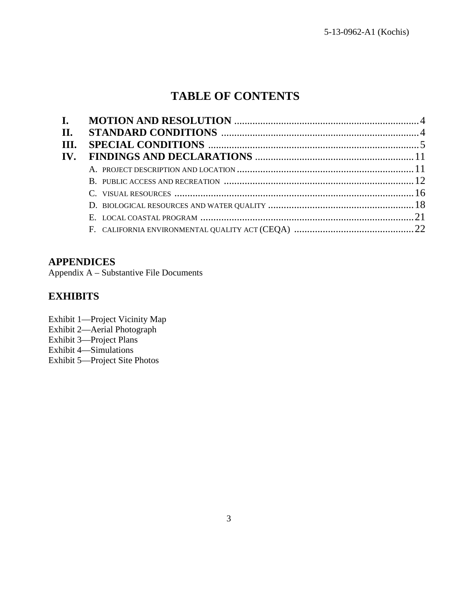## **TABLE OF CONTENTS**

| П.   |  |
|------|--|
| III. |  |
| IV.  |  |
|      |  |
|      |  |
|      |  |
|      |  |
|      |  |
|      |  |

## **APPENDICES**

Appendix A – Substantive File Documents

## **EXHIBITS**

Exhibit 1—Project Vicinity Map Exhibit 2—Aerial Photograph Exhibit 3—Project Plans Exhibit 4—Simulations Exhibit 5—Project Site Photos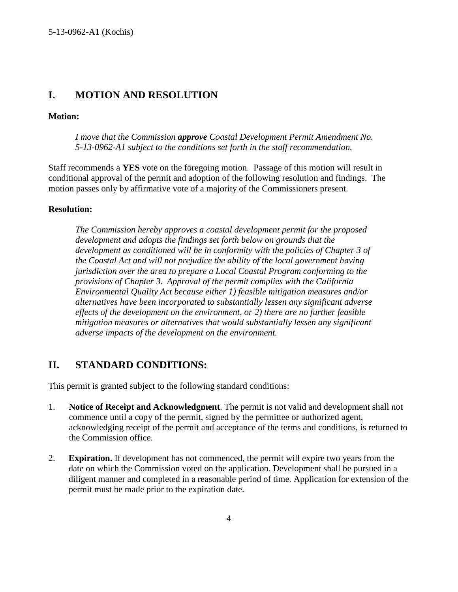### **I. MOTION AND RESOLUTION**

#### **Motion:**

*I move that the Commission approve Coastal Development Permit Amendment No. 5-13-0962-A1 subject to the conditions set forth in the staff recommendation.*

Staff recommends a **YES** vote on the foregoing motion. Passage of this motion will result in conditional approval of the permit and adoption of the following resolution and findings. The motion passes only by affirmative vote of a majority of the Commissioners present.

#### **Resolution:**

*The Commission hereby approves a coastal development permit for the proposed development and adopts the findings set forth below on grounds that the development as conditioned will be in conformity with the policies of Chapter 3 of the Coastal Act and will not prejudice the ability of the local government having jurisdiction over the area to prepare a Local Coastal Program conforming to the provisions of Chapter 3. Approval of the permit complies with the California Environmental Quality Act because either 1) feasible mitigation measures and/or alternatives have been incorporated to substantially lessen any significant adverse effects of the development on the environment, or 2) there are no further feasible mitigation measures or alternatives that would substantially lessen any significant adverse impacts of the development on the environment.*

### **II. STANDARD CONDITIONS:**

This permit is granted subject to the following standard conditions:

- 1. **Notice of Receipt and Acknowledgment**. The permit is not valid and development shall not commence until a copy of the permit, signed by the permittee or authorized agent, acknowledging receipt of the permit and acceptance of the terms and conditions, is returned to the Commission office.
- 2. **Expiration.** If development has not commenced, the permit will expire two years from the date on which the Commission voted on the application. Development shall be pursued in a diligent manner and completed in a reasonable period of time. Application for extension of the permit must be made prior to the expiration date.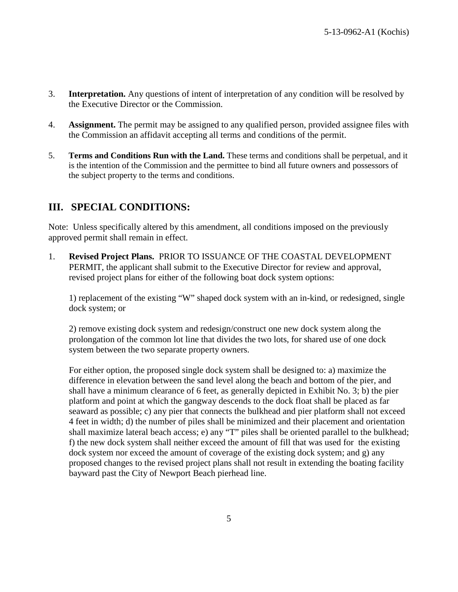- 3. **Interpretation.** Any questions of intent of interpretation of any condition will be resolved by the Executive Director or the Commission.
- 4. **Assignment.** The permit may be assigned to any qualified person, provided assignee files with the Commission an affidavit accepting all terms and conditions of the permit.
- 5. **Terms and Conditions Run with the Land.** These terms and conditions shall be perpetual, and it is the intention of the Commission and the permittee to bind all future owners and possessors of the subject property to the terms and conditions.

## **III. SPECIAL CONDITIONS:**

Note: Unless specifically altered by this amendment, all conditions imposed on the previously approved permit shall remain in effect.

1. **Revised Project Plans.** PRIOR TO ISSUANCE OF THE COASTAL DEVELOPMENT PERMIT, the applicant shall submit to the Executive Director for review and approval, revised project plans for either of the following boat dock system options:

1) replacement of the existing "W" shaped dock system with an in-kind, or redesigned, single dock system; or

2) remove existing dock system and redesign/construct one new dock system along the prolongation of the common lot line that divides the two lots, for shared use of one dock system between the two separate property owners.

For either option, the proposed single dock system shall be designed to: a) maximize the difference in elevation between the sand level along the beach and bottom of the pier, and shall have a minimum clearance of 6 feet, as generally depicted in Exhibit No. 3; b) the pier platform and point at which the gangway descends to the dock float shall be placed as far seaward as possible; c) any pier that connects the bulkhead and pier platform shall not exceed 4 feet in width; d) the number of piles shall be minimized and their placement and orientation shall maximize lateral beach access; e) any "T" piles shall be oriented parallel to the bulkhead; f) the new dock system shall neither exceed the amount of fill that was used for the existing dock system nor exceed the amount of coverage of the existing dock system; and g) any proposed changes to the revised project plans shall not result in extending the boating facility bayward past the City of Newport Beach pierhead line.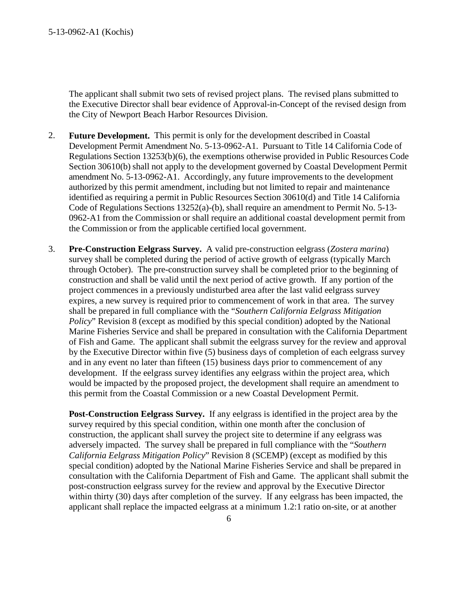The applicant shall submit two sets of revised project plans. The revised plans submitted to the Executive Director shall bear evidence of Approval-in-Concept of the revised design from the City of Newport Beach Harbor Resources Division.

- 2. **Future Development.** This permit is only for the development described in Coastal Development Permit Amendment No. 5-13-0962-A1. Pursuant to Title 14 California Code of Regulations Section 13253(b)(6), the exemptions otherwise provided in Public Resources Code Section 30610(b) shall not apply to the development governed by Coastal Development Permit amendment No. 5-13-0962-A1. Accordingly, any future improvements to the development authorized by this permit amendment, including but not limited to repair and maintenance identified as requiring a permit in Public Resources Section 30610(d) and Title 14 California Code of Regulations Sections 13252(a)-(b), shall require an amendment to Permit No. 5-13- 0962-A1 from the Commission or shall require an additional coastal development permit from the Commission or from the applicable certified local government.
- 3. **Pre-Construction Eelgrass Survey.** A valid pre-construction eelgrass (*Zostera marina*) survey shall be completed during the period of active growth of eelgrass (typically March through October). The pre-construction survey shall be completed prior to the beginning of construction and shall be valid until the next period of active growth. If any portion of the project commences in a previously undisturbed area after the last valid eelgrass survey expires, a new survey is required prior to commencement of work in that area. The survey shall be prepared in full compliance with the "*Southern California Eelgrass Mitigation Policy*" Revision 8 (except as modified by this special condition) adopted by the National Marine Fisheries Service and shall be prepared in consultation with the California Department of Fish and Game. The applicant shall submit the eelgrass survey for the review and approval by the Executive Director within five (5) business days of completion of each eelgrass survey and in any event no later than fifteen (15) business days prior to commencement of any development. If the eelgrass survey identifies any eelgrass within the project area, which would be impacted by the proposed project, the development shall require an amendment to this permit from the Coastal Commission or a new Coastal Development Permit.

**Post-Construction Eelgrass Survey.** If any eelgrass is identified in the project area by the survey required by this special condition, within one month after the conclusion of construction, the applicant shall survey the project site to determine if any eelgrass was adversely impacted. The survey shall be prepared in full compliance with the "*Southern California Eelgrass Mitigation Policy*" Revision 8 (SCEMP) (except as modified by this special condition) adopted by the National Marine Fisheries Service and shall be prepared in consultation with the California Department of Fish and Game. The applicant shall submit the post-construction eelgrass survey for the review and approval by the Executive Director within thirty (30) days after completion of the survey. If any eelgrass has been impacted, the applicant shall replace the impacted eelgrass at a minimum 1.2:1 ratio on-site, or at another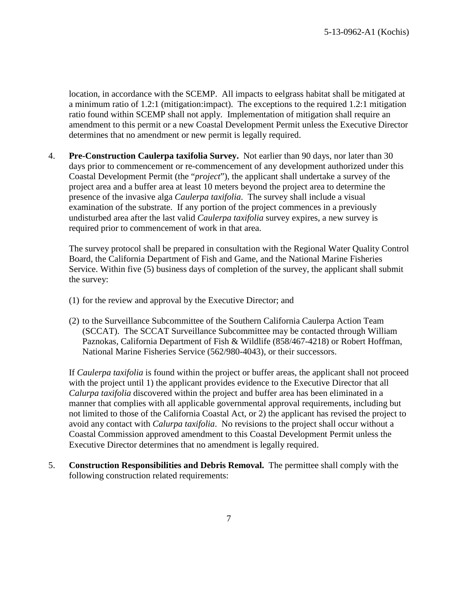location, in accordance with the SCEMP. All impacts to eelgrass habitat shall be mitigated at a minimum ratio of 1.2:1 (mitigation:impact). The exceptions to the required 1.2:1 mitigation ratio found within SCEMP shall not apply. Implementation of mitigation shall require an amendment to this permit or a new Coastal Development Permit unless the Executive Director determines that no amendment or new permit is legally required.

4. **Pre-Construction Caulerpa taxifolia Survey.** Not earlier than 90 days, nor later than 30 days prior to commencement or re-commencement of any development authorized under this Coastal Development Permit (the "*project*"), the applicant shall undertake a survey of the project area and a buffer area at least 10 meters beyond the project area to determine the presence of the invasive alga *Caulerpa taxifolia*. The survey shall include a visual examination of the substrate. If any portion of the project commences in a previously undisturbed area after the last valid *Caulerpa taxifolia* survey expires, a new survey is required prior to commencement of work in that area.

The survey protocol shall be prepared in consultation with the Regional Water Quality Control Board, the California Department of Fish and Game, and the National Marine Fisheries Service. Within five (5) business days of completion of the survey, the applicant shall submit the survey:

- (1) for the review and approval by the Executive Director; and
- (2) to the Surveillance Subcommittee of the Southern California Caulerpa Action Team (SCCAT). The SCCAT Surveillance Subcommittee may be contacted through William Paznokas, California Department of Fish & Wildlife (858/467-4218) or Robert Hoffman, National Marine Fisheries Service (562/980-4043), or their successors.

If *Caulerpa taxifolia* is found within the project or buffer areas, the applicant shall not proceed with the project until 1) the applicant provides evidence to the Executive Director that all *Calurpa taxifolia* discovered within the project and buffer area has been eliminated in a manner that complies with all applicable governmental approval requirements, including but not limited to those of the California Coastal Act, or 2) the applicant has revised the project to avoid any contact with *Calurpa taxifolia*. No revisions to the project shall occur without a Coastal Commission approved amendment to this Coastal Development Permit unless the Executive Director determines that no amendment is legally required.

5. **Construction Responsibilities and Debris Removal.** The permittee shall comply with the following construction related requirements: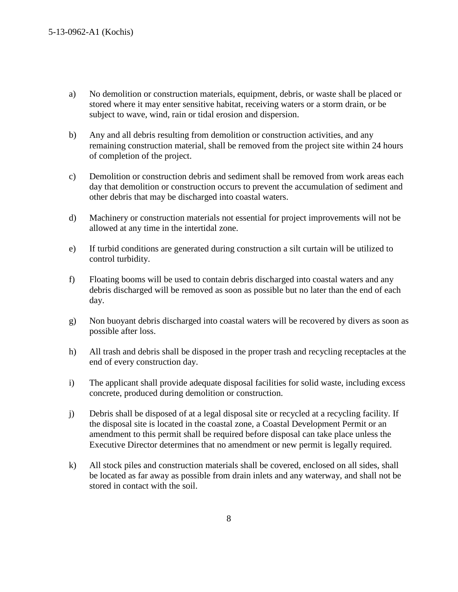- a) No demolition or construction materials, equipment, debris, or waste shall be placed or stored where it may enter sensitive habitat, receiving waters or a storm drain, or be subject to wave, wind, rain or tidal erosion and dispersion.
- b) Any and all debris resulting from demolition or construction activities, and any remaining construction material, shall be removed from the project site within 24 hours of completion of the project.
- c) Demolition or construction debris and sediment shall be removed from work areas each day that demolition or construction occurs to prevent the accumulation of sediment and other debris that may be discharged into coastal waters.
- d) Machinery or construction materials not essential for project improvements will not be allowed at any time in the intertidal zone.
- e) If turbid conditions are generated during construction a silt curtain will be utilized to control turbidity.
- f) Floating booms will be used to contain debris discharged into coastal waters and any debris discharged will be removed as soon as possible but no later than the end of each day.
- g) Non buoyant debris discharged into coastal waters will be recovered by divers as soon as possible after loss.
- h) All trash and debris shall be disposed in the proper trash and recycling receptacles at the end of every construction day.
- i) The applicant shall provide adequate disposal facilities for solid waste, including excess concrete, produced during demolition or construction.
- j) Debris shall be disposed of at a legal disposal site or recycled at a recycling facility. If the disposal site is located in the coastal zone, a Coastal Development Permit or an amendment to this permit shall be required before disposal can take place unless the Executive Director determines that no amendment or new permit is legally required.
- k) All stock piles and construction materials shall be covered, enclosed on all sides, shall be located as far away as possible from drain inlets and any waterway, and shall not be stored in contact with the soil.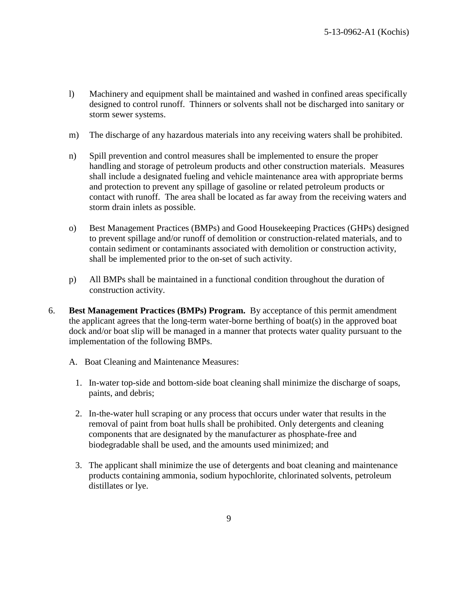- l) Machinery and equipment shall be maintained and washed in confined areas specifically designed to control runoff. Thinners or solvents shall not be discharged into sanitary or storm sewer systems.
- m) The discharge of any hazardous materials into any receiving waters shall be prohibited.
- n) Spill prevention and control measures shall be implemented to ensure the proper handling and storage of petroleum products and other construction materials. Measures shall include a designated fueling and vehicle maintenance area with appropriate berms and protection to prevent any spillage of gasoline or related petroleum products or contact with runoff. The area shall be located as far away from the receiving waters and storm drain inlets as possible.
- o) Best Management Practices (BMPs) and Good Housekeeping Practices (GHPs) designed to prevent spillage and/or runoff of demolition or construction-related materials, and to contain sediment or contaminants associated with demolition or construction activity, shall be implemented prior to the on-set of such activity.
- p) All BMPs shall be maintained in a functional condition throughout the duration of construction activity.
- 6. **Best Management Practices (BMPs) Program.** By acceptance of this permit amendment the applicant agrees that the long-term water-borne berthing of boat(s) in the approved boat dock and/or boat slip will be managed in a manner that protects water quality pursuant to the implementation of the following BMPs.
	- A. Boat Cleaning and Maintenance Measures:
		- 1. In-water top-side and bottom-side boat cleaning shall minimize the discharge of soaps, paints, and debris;
		- 2. In-the-water hull scraping or any process that occurs under water that results in the removal of paint from boat hulls shall be prohibited. Only detergents and cleaning components that are designated by the manufacturer as phosphate-free and biodegradable shall be used, and the amounts used minimized; and
		- 3. The applicant shall minimize the use of detergents and boat cleaning and maintenance products containing ammonia, sodium hypochlorite, chlorinated solvents, petroleum distillates or lye.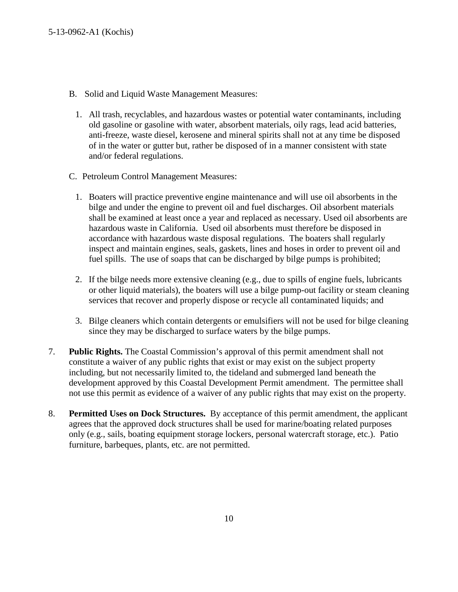- B. Solid and Liquid Waste Management Measures:
	- 1. All trash, recyclables, and hazardous wastes or potential water contaminants, including old gasoline or gasoline with water, absorbent materials, oily rags, lead acid batteries, anti-freeze, waste diesel, kerosene and mineral spirits shall not at any time be disposed of in the water or gutter but, rather be disposed of in a manner consistent with state and/or federal regulations.
- C. Petroleum Control Management Measures:
	- 1. Boaters will practice preventive engine maintenance and will use oil absorbents in the bilge and under the engine to prevent oil and fuel discharges. Oil absorbent materials shall be examined at least once a year and replaced as necessary. Used oil absorbents are hazardous waste in California. Used oil absorbents must therefore be disposed in accordance with hazardous waste disposal regulations. The boaters shall regularly inspect and maintain engines, seals, gaskets, lines and hoses in order to prevent oil and fuel spills. The use of soaps that can be discharged by bilge pumps is prohibited;
	- 2. If the bilge needs more extensive cleaning (e.g., due to spills of engine fuels, lubricants or other liquid materials), the boaters will use a bilge pump-out facility or steam cleaning services that recover and properly dispose or recycle all contaminated liquids; and
	- 3. Bilge cleaners which contain detergents or emulsifiers will not be used for bilge cleaning since they may be discharged to surface waters by the bilge pumps.
- 7. **Public Rights.** The Coastal Commission's approval of this permit amendment shall not constitute a waiver of any public rights that exist or may exist on the subject property including, but not necessarily limited to, the tideland and submerged land beneath the development approved by this Coastal Development Permit amendment. The permittee shall not use this permit as evidence of a waiver of any public rights that may exist on the property.
- 8. **Permitted Uses on Dock Structures.** By acceptance of this permit amendment, the applicant agrees that the approved dock structures shall be used for marine/boating related purposes only (e.g., sails, boating equipment storage lockers, personal watercraft storage, etc.). Patio furniture, barbeques, plants, etc. are not permitted.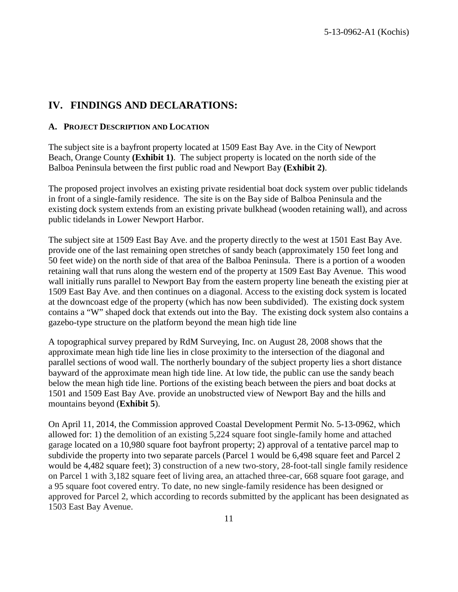### **IV. FINDINGS AND DECLARATIONS:**

#### **A. PROJECT DESCRIPTION AND LOCATION**

The subject site is a bayfront property located at 1509 East Bay Ave. in the City of Newport Beach, Orange County **(Exhibit 1)**. The subject property is located on the north side of the Balboa Peninsula between the first public road and Newport Bay **(Exhibit 2)**.

The proposed project involves an existing private residential boat dock system over public tidelands in front of a single-family residence. The site is on the Bay side of Balboa Peninsula and the existing dock system extends from an existing private bulkhead (wooden retaining wall), and across public tidelands in Lower Newport Harbor.

The subject site at 1509 East Bay Ave. and the property directly to the west at 1501 East Bay Ave. provide one of the last remaining open stretches of sandy beach (approximately 150 feet long and 50 feet wide) on the north side of that area of the Balboa Peninsula. There is a portion of a wooden retaining wall that runs along the western end of the property at 1509 East Bay Avenue. This wood wall initially runs parallel to Newport Bay from the eastern property line beneath the existing pier at 1509 East Bay Ave. and then continues on a diagonal. Access to the existing dock system is located at the downcoast edge of the property (which has now been subdivided). The existing dock system contains a "W" shaped dock that extends out into the Bay. The existing dock system also contains a gazebo-type structure on the platform beyond the mean high tide line

A topographical survey prepared by RdM Surveying, Inc. on August 28, 2008 shows that the approximate mean high tide line lies in close proximity to the intersection of the diagonal and parallel sections of wood wall. The northerly boundary of the subject property lies a short distance bayward of the approximate mean high tide line. At low tide, the public can use the sandy beach below the mean high tide line. Portions of the existing beach between the piers and boat docks at 1501 and 1509 East Bay Ave. provide an unobstructed view of Newport Bay and the hills and mountains beyond (**Exhibit 5**).

On April 11, 2014, the Commission approved Coastal Development Permit No. 5-13-0962, which allowed for: 1) the demolition of an existing 5,224 square foot single-family home and attached garage located on a 10,980 square foot bayfront property; 2) approval of a tentative parcel map to subdivide the property into two separate parcels (Parcel 1 would be 6,498 square feet and Parcel 2 would be 4,482 square feet); 3) construction of a new two-story, 28-foot-tall single family residence on Parcel 1 with 3,182 square feet of living area, an attached three-car, 668 square foot garage, and a 95 square foot covered entry. To date, no new single-family residence has been designed or approved for Parcel 2, which according to records submitted by the applicant has been designated as 1503 East Bay Avenue.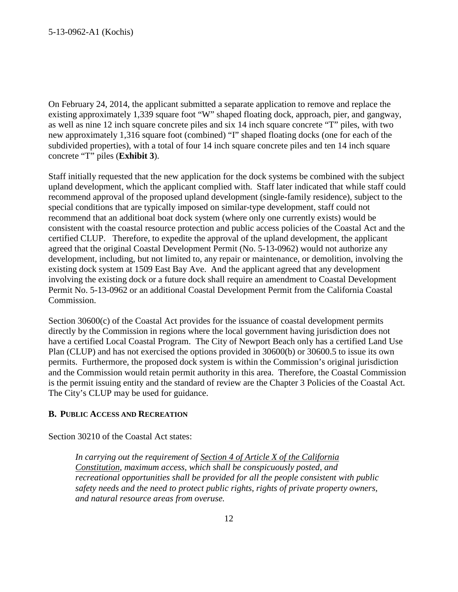On February 24, 2014, the applicant submitted a separate application to remove and replace the existing approximately 1,339 square foot "W" shaped floating dock, approach, pier, and gangway, as well as nine 12 inch square concrete piles and six 14 inch square concrete "T" piles, with two new approximately 1,316 square foot (combined) "I" shaped floating docks (one for each of the subdivided properties), with a total of four 14 inch square concrete piles and ten 14 inch square concrete "T" piles (**Exhibit 3**).

Staff initially requested that the new application for the dock systems be combined with the subject upland development, which the applicant complied with. Staff later indicated that while staff could recommend approval of the proposed upland development (single-family residence), subject to the special conditions that are typically imposed on similar-type development, staff could not recommend that an additional boat dock system (where only one currently exists) would be consistent with the coastal resource protection and public access policies of the Coastal Act and the certified CLUP. Therefore, to expedite the approval of the upland development, the applicant agreed that the original Coastal Development Permit (No. 5-13-0962) would not authorize any development, including, but not limited to, any repair or maintenance, or demolition, involving the existing dock system at 1509 East Bay Ave. And the applicant agreed that any development involving the existing dock or a future dock shall require an amendment to Coastal Development Permit No. 5-13-0962 or an additional Coastal Development Permit from the California Coastal Commission.

Section 30600(c) of the Coastal Act provides for the issuance of coastal development permits directly by the Commission in regions where the local government having jurisdiction does not have a certified Local Coastal Program. The City of Newport Beach only has a certified Land Use Plan (CLUP) and has not exercised the options provided in 30600(b) or 30600.5 to issue its own permits. Furthermore, the proposed dock system is within the Commission's original jurisdiction and the Commission would retain permit authority in this area. Therefore, the Coastal Commission is the permit issuing entity and the standard of review are the Chapter 3 Policies of the Coastal Act. The City's CLUP may be used for guidance.

#### **B. PUBLIC ACCESS AND RECREATION**

Section 30210 of the Coastal Act states:

*In carrying out the requirement of Section 4 of Article X of the California Constitution, maximum access, which shall be conspicuously posted, and recreational opportunities shall be provided for all the people consistent with public safety needs and the need to protect public rights, rights of private property owners, and natural resource areas from overuse.*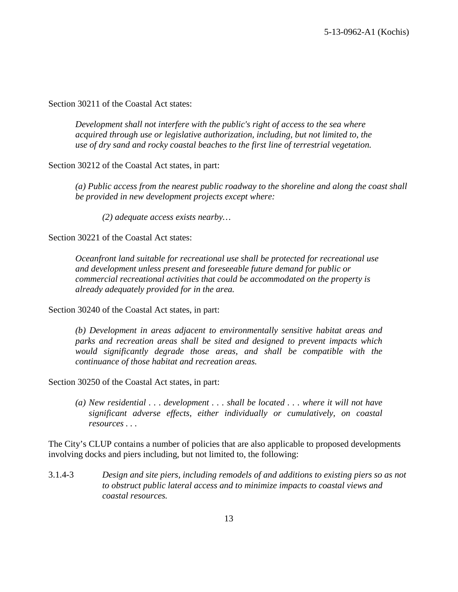Section 30211 of the Coastal Act states:

*Development shall not interfere with the public's right of access to the sea where acquired through use or legislative authorization, including, but not limited to, the use of dry sand and rocky coastal beaches to the first line of terrestrial vegetation.*

Section 30212 of the Coastal Act states, in part:

*(a) Public access from the nearest public roadway to the shoreline and along the coast shall be provided in new development projects except where:* 

*(2) adequate access exists nearby…*

Section 30221 of the Coastal Act states:

*Oceanfront land suitable for recreational use shall be protected for recreational use and development unless present and foreseeable future demand for public or commercial recreational activities that could be accommodated on the property is already adequately provided for in the area.*

Section 30240 of the Coastal Act states, in part:

*(b) Development in areas adjacent to environmentally sensitive habitat areas and parks and recreation areas shall be sited and designed to prevent impacts which would significantly degrade those areas, and shall be compatible with the continuance of those habitat and recreation areas.*

Section 30250 of the Coastal Act states, in part:

*(a) New residential . . . development . . . shall be located . . . where it will not have significant adverse effects, either individually or cumulatively, on coastal resources . . .*

The City's CLUP contains a number of policies that are also applicable to proposed developments involving docks and piers including, but not limited to, the following:

3.1.4-3 *Design and site piers, including remodels of and additions to existing piers so as not to obstruct public lateral access and to minimize impacts to coastal views and coastal resources.*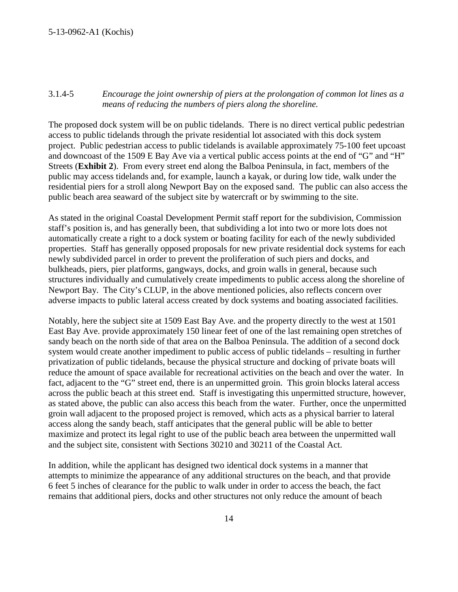#### 3.1.4-5 *Encourage the joint ownership of piers at the prolongation of common lot lines as a means of reducing the numbers of piers along the shoreline.*

The proposed dock system will be on public tidelands. There is no direct vertical public pedestrian access to public tidelands through the private residential lot associated with this dock system project. Public pedestrian access to public tidelands is available approximately 75-100 feet upcoast and downcoast of the 1509 E Bay Ave via a vertical public access points at the end of "G" and "H" Streets (**Exhibit 2**). From every street end along the Balboa Peninsula, in fact, members of the public may access tidelands and, for example, launch a kayak, or during low tide, walk under the residential piers for a stroll along Newport Bay on the exposed sand. The public can also access the public beach area seaward of the subject site by watercraft or by swimming to the site.

As stated in the original Coastal Development Permit staff report for the subdivision, Commission staff's position is, and has generally been, that subdividing a lot into two or more lots does not automatically create a right to a dock system or boating facility for each of the newly subdivided properties. Staff has generally opposed proposals for new private residential dock systems for each newly subdivided parcel in order to prevent the proliferation of such piers and docks, and bulkheads, piers, pier platforms, gangways, docks, and groin walls in general, because such structures individually and cumulatively create impediments to public access along the shoreline of Newport Bay. The City's CLUP, in the above mentioned policies, also reflects concern over adverse impacts to public lateral access created by dock systems and boating associated facilities.

Notably, here the subject site at 1509 East Bay Ave. and the property directly to the west at 1501 East Bay Ave. provide approximately 150 linear feet of one of the last remaining open stretches of sandy beach on the north side of that area on the Balboa Peninsula. The addition of a second dock system would create another impediment to public access of public tidelands – resulting in further privatization of public tidelands, because the physical structure and docking of private boats will reduce the amount of space available for recreational activities on the beach and over the water. In fact, adjacent to the "G" street end, there is an unpermitted groin. This groin blocks lateral access across the public beach at this street end. Staff is investigating this unpermitted structure, however, as stated above, the public can also access this beach from the water. Further, once the unpermitted groin wall adjacent to the proposed project is removed, which acts as a physical barrier to lateral access along the sandy beach, staff anticipates that the general public will be able to better maximize and protect its legal right to use of the public beach area between the unpermitted wall and the subject site, consistent with Sections 30210 and 30211 of the Coastal Act.

In addition, while the applicant has designed two identical dock systems in a manner that attempts to minimize the appearance of any additional structures on the beach, and that provide 6 feet 5 inches of clearance for the public to walk under in order to access the beach, the fact remains that additional piers, docks and other structures not only reduce the amount of beach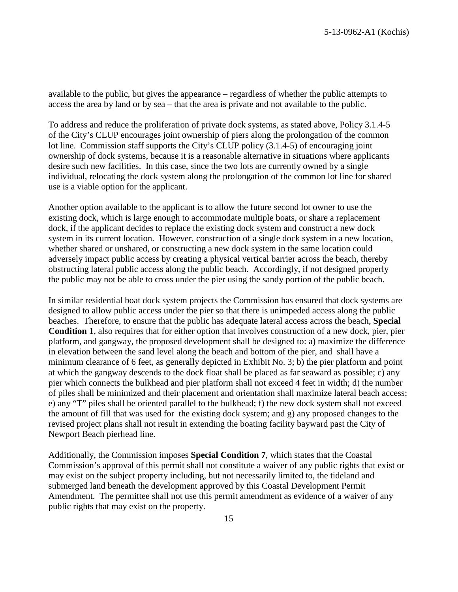available to the public, but gives the appearance – regardless of whether the public attempts to access the area by land or by sea – that the area is private and not available to the public.

To address and reduce the proliferation of private dock systems, as stated above, Policy 3.1.4-5 of the City's CLUP encourages joint ownership of piers along the prolongation of the common lot line. Commission staff supports the City's CLUP policy (3.1.4-5) of encouraging joint ownership of dock systems, because it is a reasonable alternative in situations where applicants desire such new facilities. In this case, since the two lots are currently owned by a single individual, relocating the dock system along the prolongation of the common lot line for shared use is a viable option for the applicant.

Another option available to the applicant is to allow the future second lot owner to use the existing dock, which is large enough to accommodate multiple boats, or share a replacement dock, if the applicant decides to replace the existing dock system and construct a new dock system in its current location. However, construction of a single dock system in a new location, whether shared or unshared, or constructing a new dock system in the same location could adversely impact public access by creating a physical vertical barrier across the beach, thereby obstructing lateral public access along the public beach. Accordingly, if not designed properly the public may not be able to cross under the pier using the sandy portion of the public beach.

In similar residential boat dock system projects the Commission has ensured that dock systems are designed to allow public access under the pier so that there is unimpeded access along the public beaches. Therefore, to ensure that the public has adequate lateral access across the beach, **Special Condition 1**, also requires that for either option that involves construction of a new dock, pier, pier platform, and gangway, the proposed development shall be designed to: a) maximize the difference in elevation between the sand level along the beach and bottom of the pier, and shall have a minimum clearance of 6 feet, as generally depicted in Exhibit No. 3; b) the pier platform and point at which the gangway descends to the dock float shall be placed as far seaward as possible; c) any pier which connects the bulkhead and pier platform shall not exceed 4 feet in width; d) the number of piles shall be minimized and their placement and orientation shall maximize lateral beach access; e) any "T" piles shall be oriented parallel to the bulkhead; f) the new dock system shall not exceed the amount of fill that was used for the existing dock system; and g) any proposed changes to the revised project plans shall not result in extending the boating facility bayward past the City of Newport Beach pierhead line.

Additionally, the Commission imposes **Special Condition 7**, which states that the Coastal Commission's approval of this permit shall not constitute a waiver of any public rights that exist or may exist on the subject property including, but not necessarily limited to, the tideland and submerged land beneath the development approved by this Coastal Development Permit Amendment. The permittee shall not use this permit amendment as evidence of a waiver of any public rights that may exist on the property.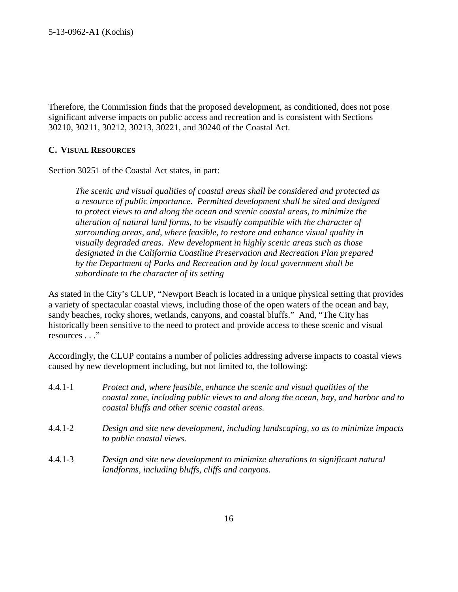Therefore, the Commission finds that the proposed development, as conditioned, does not pose significant adverse impacts on public access and recreation and is consistent with Sections 30210, 30211, 30212, 30213, 30221, and 30240 of the Coastal Act.

#### **C. VISUAL RESOURCES**

Section 30251 of the Coastal Act states, in part:

*The scenic and visual qualities of coastal areas shall be considered and protected as a resource of public importance. Permitted development shall be sited and designed to protect views to and along the ocean and scenic coastal areas, to minimize the alteration of natural land forms, to be visually compatible with the character of surrounding areas, and, where feasible, to restore and enhance visual quality in visually degraded areas. New development in highly scenic areas such as those designated in the California Coastline Preservation and Recreation Plan prepared by the Department of Parks and Recreation and by local government shall be subordinate to the character of its setting*

As stated in the City's CLUP, "Newport Beach is located in a unique physical setting that provides a variety of spectacular coastal views, including those of the open waters of the ocean and bay, sandy beaches, rocky shores, wetlands, canyons, and coastal bluffs." And, "The City has historically been sensitive to the need to protect and provide access to these scenic and visual resources . . ."

Accordingly, the CLUP contains a number of policies addressing adverse impacts to coastal views caused by new development including, but not limited to, the following:

| $4.4.1 - 1$ | Protect and, where feasible, enhance the scenic and visual qualities of the<br>coastal zone, including public views to and along the ocean, bay, and harbor and to<br>coastal bluffs and other scenic coastal areas. |
|-------------|----------------------------------------------------------------------------------------------------------------------------------------------------------------------------------------------------------------------|
| $4.4.1 - 2$ | Design and site new development, including landscaping, so as to minimize impacts<br>to public coastal views.                                                                                                        |
| $4.4.1 - 3$ | Design and site new development to minimize alterations to significant natural<br>landforms, including bluffs, cliffs and canyons.                                                                                   |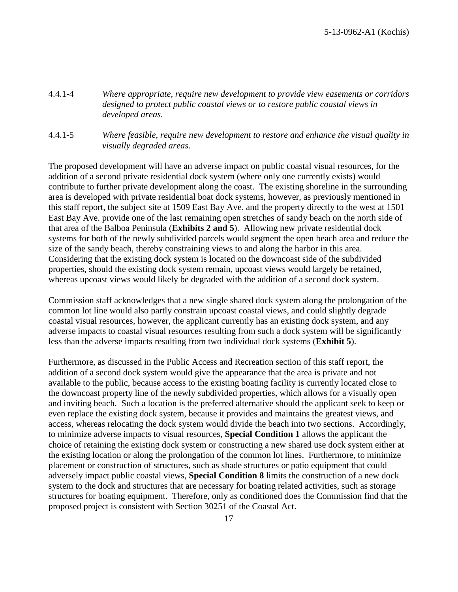- 4.4.1-4 *Where appropriate, require new development to provide view easements or corridors designed to protect public coastal views or to restore public coastal views in developed areas.*
- 4.4.1-5 *Where feasible, require new development to restore and enhance the visual quality in visually degraded areas.*

The proposed development will have an adverse impact on public coastal visual resources, for the addition of a second private residential dock system (where only one currently exists) would contribute to further private development along the coast. The existing shoreline in the surrounding area is developed with private residential boat dock systems, however, as previously mentioned in this staff report, the subject site at 1509 East Bay Ave. and the property directly to the west at 1501 East Bay Ave. provide one of the last remaining open stretches of sandy beach on the north side of that area of the Balboa Peninsula (**Exhibits 2 and 5**). Allowing new private residential dock systems for both of the newly subdivided parcels would segment the open beach area and reduce the size of the sandy beach, thereby constraining views to and along the harbor in this area. Considering that the existing dock system is located on the downcoast side of the subdivided properties, should the existing dock system remain, upcoast views would largely be retained, whereas upcoast views would likely be degraded with the addition of a second dock system.

Commission staff acknowledges that a new single shared dock system along the prolongation of the common lot line would also partly constrain upcoast coastal views, and could slightly degrade coastal visual resources, however, the applicant currently has an existing dock system, and any adverse impacts to coastal visual resources resulting from such a dock system will be significantly less than the adverse impacts resulting from two individual dock systems (**Exhibit 5**).

Furthermore, as discussed in the Public Access and Recreation section of this staff report, the addition of a second dock system would give the appearance that the area is private and not available to the public, because access to the existing boating facility is currently located close to the downcoast property line of the newly subdivided properties, which allows for a visually open and inviting beach. Such a location is the preferred alternative should the applicant seek to keep or even replace the existing dock system, because it provides and maintains the greatest views, and access, whereas relocating the dock system would divide the beach into two sections. Accordingly, to minimize adverse impacts to visual resources, **Special Condition 1** allows the applicant the choice of retaining the existing dock system or constructing a new shared use dock system either at the existing location or along the prolongation of the common lot lines. Furthermore, to minimize placement or construction of structures, such as shade structures or patio equipment that could adversely impact public coastal views, **Special Condition 8** limits the construction of a new dock system to the dock and structures that are necessary for boating related activities, such as storage structures for boating equipment. Therefore, only as conditioned does the Commission find that the proposed project is consistent with Section 30251 of the Coastal Act.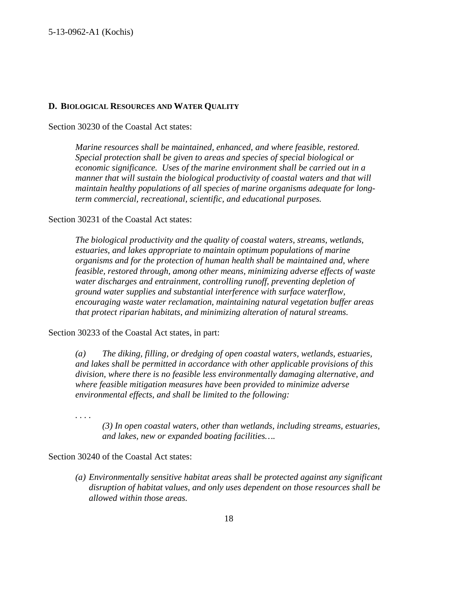#### **D. BIOLOGICAL RESOURCES AND WATER QUALITY**

Section 30230 of the Coastal Act states:

*Marine resources shall be maintained, enhanced, and where feasible, restored. Special protection shall be given to areas and species of special biological or economic significance. Uses of the marine environment shall be carried out in a manner that will sustain the biological productivity of coastal waters and that will maintain healthy populations of all species of marine organisms adequate for longterm commercial, recreational, scientific, and educational purposes.*

Section 30231 of the Coastal Act states:

*The biological productivity and the quality of coastal waters, streams, wetlands, estuaries, and lakes appropriate to maintain optimum populations of marine organisms and for the protection of human health shall be maintained and, where feasible, restored through, among other means, minimizing adverse effects of waste water discharges and entrainment, controlling runoff, preventing depletion of ground water supplies and substantial interference with surface waterflow, encouraging waste water reclamation, maintaining natural vegetation buffer areas that protect riparian habitats, and minimizing alteration of natural streams.*

Section 30233 of the Coastal Act states, in part:

*(a) The diking, filling, or dredging of open coastal waters, wetlands, estuaries, and lakes shall be permitted in accordance with other applicable provisions of this division, where there is no feasible less environmentally damaging alternative, and where feasible mitigation measures have been provided to minimize adverse environmental effects, and shall be limited to the following:*

*. . . .*

*(3) In open coastal waters, other than wetlands, including streams, estuaries, and lakes, new or expanded boating facilities….*

Section 30240 of the Coastal Act states:

*(a) Environmentally sensitive habitat areas shall be protected against any significant disruption of habitat values, and only uses dependent on those resources shall be allowed within those areas.*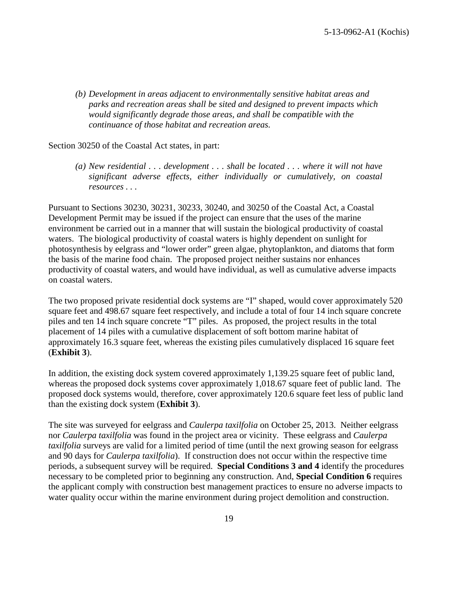*(b) Development in areas adjacent to environmentally sensitive habitat areas and parks and recreation areas shall be sited and designed to prevent impacts which would significantly degrade those areas, and shall be compatible with the continuance of those habitat and recreation areas.*

#### Section 30250 of the Coastal Act states, in part:

*(a) New residential . . . development . . . shall be located . . . where it will not have significant adverse effects, either individually or cumulatively, on coastal resources . . .*

Pursuant to Sections 30230, 30231, 30233, 30240, and 30250 of the Coastal Act, a Coastal Development Permit may be issued if the project can ensure that the uses of the marine environment be carried out in a manner that will sustain the biological productivity of coastal waters. The biological productivity of coastal waters is highly dependent on sunlight for photosynthesis by eelgrass and "lower order" green algae, phytoplankton, and diatoms that form the basis of the marine food chain. The proposed project neither sustains nor enhances productivity of coastal waters, and would have individual, as well as cumulative adverse impacts on coastal waters.

The two proposed private residential dock systems are "I" shaped, would cover approximately 520 square feet and 498.67 square feet respectively, and include a total of four 14 inch square concrete piles and ten 14 inch square concrete "T" piles. As proposed, the project results in the total placement of 14 piles with a cumulative displacement of soft bottom marine habitat of approximately 16.3 square feet, whereas the existing piles cumulatively displaced 16 square feet (**Exhibit 3**).

In addition, the existing dock system covered approximately 1,139.25 square feet of public land, whereas the proposed dock systems cover approximately 1,018.67 square feet of public land. The proposed dock systems would, therefore, cover approximately 120.6 square feet less of public land than the existing dock system (**Exhibit 3**).

The site was surveyed for eelgrass and *Caulerpa taxilfolia* on October 25, 2013. Neither eelgrass nor *Caulerpa taxilfolia* was found in the project area or vicinity. These eelgrass and *Caulerpa taxilfolia* surveys are valid for a limited period of time (until the next growing season for eelgrass and 90 days for *Caulerpa taxilfolia*). If construction does not occur within the respective time periods, a subsequent survey will be required. **Special Conditions 3 and 4** identify the procedures necessary to be completed prior to beginning any construction. And, **Special Condition 6** requires the applicant comply with construction best management practices to ensure no adverse impacts to water quality occur within the marine environment during project demolition and construction.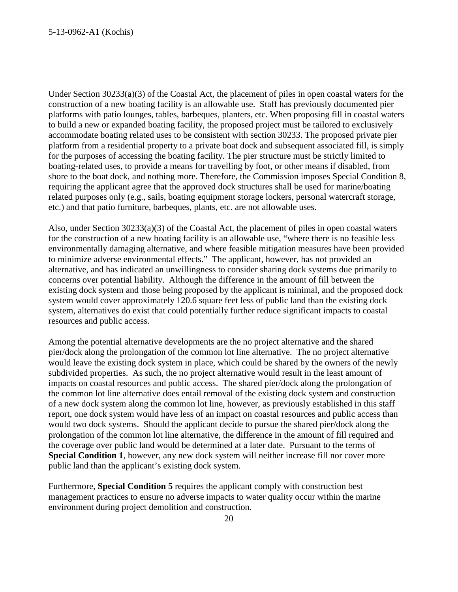Under Section 30233(a)(3) of the Coastal Act, the placement of piles in open coastal waters for the construction of a new boating facility is an allowable use. Staff has previously documented pier platforms with patio lounges, tables, barbeques, planters, etc. When proposing fill in coastal waters to build a new or expanded boating facility, the proposed project must be tailored to exclusively accommodate boating related uses to be consistent with section 30233. The proposed private pier platform from a residential property to a private boat dock and subsequent associated fill, is simply for the purposes of accessing the boating facility. The pier structure must be strictly limited to boating-related uses, to provide a means for travelling by foot, or other means if disabled, from shore to the boat dock, and nothing more. Therefore, the Commission imposes Special Condition 8, requiring the applicant agree that the approved dock structures shall be used for marine/boating related purposes only (e.g., sails, boating equipment storage lockers, personal watercraft storage, etc.) and that patio furniture, barbeques, plants, etc. are not allowable uses.

Also, under Section 30233(a)(3) of the Coastal Act, the placement of piles in open coastal waters for the construction of a new boating facility is an allowable use, "where there is no feasible less environmentally damaging alternative, and where feasible mitigation measures have been provided to minimize adverse environmental effects." The applicant, however, has not provided an alternative, and has indicated an unwillingness to consider sharing dock systems due primarily to concerns over potential liability. Although the difference in the amount of fill between the existing dock system and those being proposed by the applicant is minimal, and the proposed dock system would cover approximately 120.6 square feet less of public land than the existing dock system, alternatives do exist that could potentially further reduce significant impacts to coastal resources and public access.

Among the potential alternative developments are the no project alternative and the shared pier/dock along the prolongation of the common lot line alternative. The no project alternative would leave the existing dock system in place, which could be shared by the owners of the newly subdivided properties. As such, the no project alternative would result in the least amount of impacts on coastal resources and public access. The shared pier/dock along the prolongation of the common lot line alternative does entail removal of the existing dock system and construction of a new dock system along the common lot line, however, as previously established in this staff report, one dock system would have less of an impact on coastal resources and public access than would two dock systems. Should the applicant decide to pursue the shared pier/dock along the prolongation of the common lot line alternative, the difference in the amount of fill required and the coverage over public land would be determined at a later date. Pursuant to the terms of **Special Condition 1**, however, any new dock system will neither increase fill nor cover more public land than the applicant's existing dock system.

Furthermore, **Special Condition 5** requires the applicant comply with construction best management practices to ensure no adverse impacts to water quality occur within the marine environment during project demolition and construction.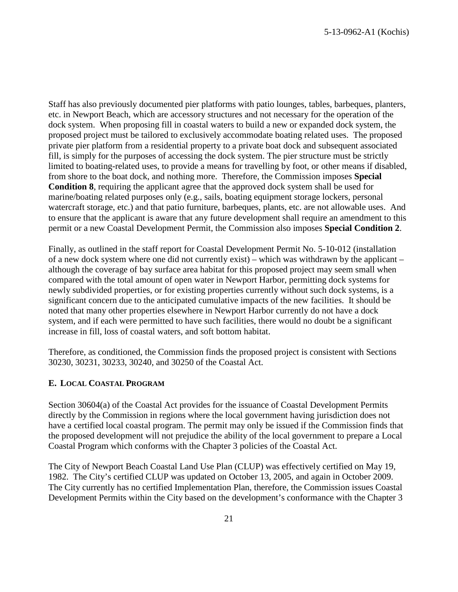Staff has also previously documented pier platforms with patio lounges, tables, barbeques, planters, etc. in Newport Beach, which are accessory structures and not necessary for the operation of the dock system. When proposing fill in coastal waters to build a new or expanded dock system, the proposed project must be tailored to exclusively accommodate boating related uses. The proposed private pier platform from a residential property to a private boat dock and subsequent associated fill, is simply for the purposes of accessing the dock system. The pier structure must be strictly limited to boating-related uses, to provide a means for travelling by foot, or other means if disabled, from shore to the boat dock, and nothing more. Therefore, the Commission imposes **Special Condition 8**, requiring the applicant agree that the approved dock system shall be used for marine/boating related purposes only (e.g., sails, boating equipment storage lockers, personal watercraft storage, etc.) and that patio furniture, barbeques, plants, etc. are not allowable uses. And to ensure that the applicant is aware that any future development shall require an amendment to this permit or a new Coastal Development Permit, the Commission also imposes **Special Condition 2**.

Finally, as outlined in the staff report for Coastal Development Permit No. 5-10-012 (installation of a new dock system where one did not currently exist) – which was withdrawn by the applicant – although the coverage of bay surface area habitat for this proposed project may seem small when compared with the total amount of open water in Newport Harbor, permitting dock systems for newly subdivided properties, or for existing properties currently without such dock systems, is a significant concern due to the anticipated cumulative impacts of the new facilities. It should be noted that many other properties elsewhere in Newport Harbor currently do not have a dock system, and if each were permitted to have such facilities, there would no doubt be a significant increase in fill, loss of coastal waters, and soft bottom habitat.

Therefore, as conditioned, the Commission finds the proposed project is consistent with Sections 30230, 30231, 30233, 30240, and 30250 of the Coastal Act.

#### **E. LOCAL COASTAL PROGRAM**

Section 30604(a) of the Coastal Act provides for the issuance of Coastal Development Permits directly by the Commission in regions where the local government having jurisdiction does not have a certified local coastal program. The permit may only be issued if the Commission finds that the proposed development will not prejudice the ability of the local government to prepare a Local Coastal Program which conforms with the Chapter 3 policies of the Coastal Act.

The City of Newport Beach Coastal Land Use Plan (CLUP) was effectively certified on May 19, 1982. The City's certified CLUP was updated on October 13, 2005, and again in October 2009. The City currently has no certified Implementation Plan, therefore, the Commission issues Coastal Development Permits within the City based on the development's conformance with the Chapter 3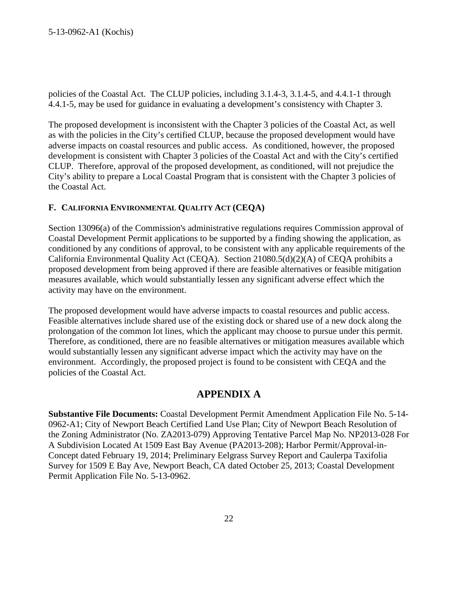policies of the Coastal Act. The CLUP policies, including 3.1.4-3, 3.1.4-5, and 4.4.1-1 through 4.4.1-5, may be used for guidance in evaluating a development's consistency with Chapter 3.

The proposed development is inconsistent with the Chapter 3 policies of the Coastal Act, as well as with the policies in the City's certified CLUP, because the proposed development would have adverse impacts on coastal resources and public access. As conditioned, however, the proposed development is consistent with Chapter 3 policies of the Coastal Act and with the City's certified CLUP. Therefore, approval of the proposed development, as conditioned, will not prejudice the City's ability to prepare a Local Coastal Program that is consistent with the Chapter 3 policies of the Coastal Act.

#### **F. CALIFORNIA ENVIRONMENTAL QUALITY ACT (CEQA)**

Section 13096(a) of the Commission's administrative regulations requires Commission approval of Coastal Development Permit applications to be supported by a finding showing the application, as conditioned by any conditions of approval, to be consistent with any applicable requirements of the California Environmental Quality Act (CEQA). Section 21080.5(d)(2)(A) of CEQA prohibits a proposed development from being approved if there are feasible alternatives or feasible mitigation measures available, which would substantially lessen any significant adverse effect which the activity may have on the environment.

The proposed development would have adverse impacts to coastal resources and public access. Feasible alternatives include shared use of the existing dock or shared use of a new dock along the prolongation of the common lot lines, which the applicant may choose to pursue under this permit. Therefore, as conditioned, there are no feasible alternatives or mitigation measures available which would substantially lessen any significant adverse impact which the activity may have on the environment. Accordingly, the proposed project is found to be consistent with CEQA and the policies of the Coastal Act.

## **APPENDIX A**

**Substantive File Documents:** Coastal Development Permit Amendment Application File No. 5-14- 0962-A1; City of Newport Beach Certified Land Use Plan; City of Newport Beach Resolution of the Zoning Administrator (No. ZA2013-079) Approving Tentative Parcel Map No. NP2013-028 For A Subdivision Located At 1509 East Bay Avenue (PA2013-208); Harbor Permit/Approval-in-Concept dated February 19, 2014; Preliminary Eelgrass Survey Report and Caulerpa Taxifolia Survey for 1509 E Bay Ave, Newport Beach, CA dated October 25, 2013; Coastal Development Permit Application File No. 5-13-0962.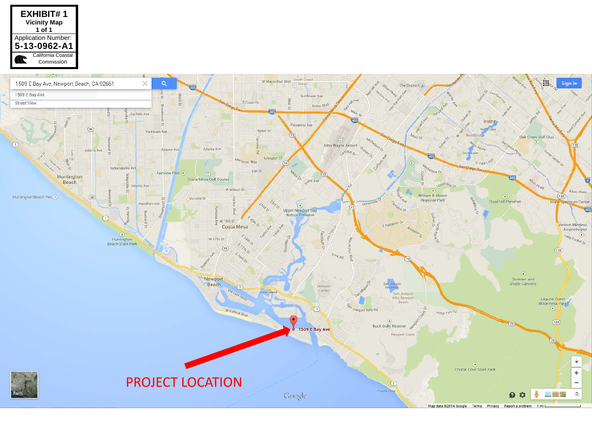

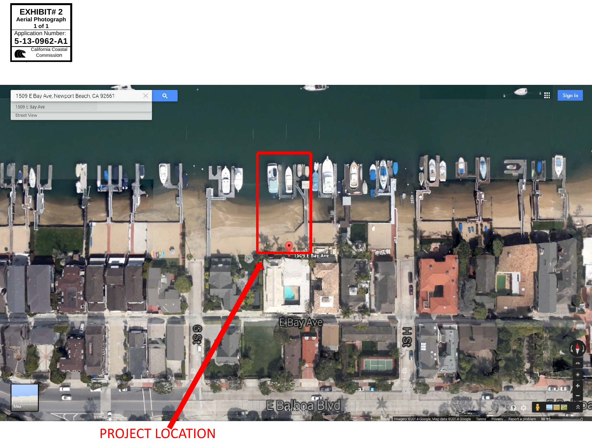



## PROJECT LOCATION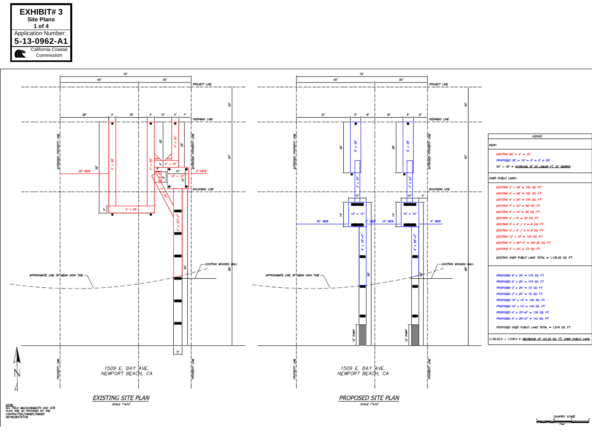



NOTE)<br>ALL PELD MEASUREMENTS AND STE<br>PLAN ARE AS PRONDED BY THE<br>CONTRACTOR/OWNER/OWNER<br>REPRESENTATIVE.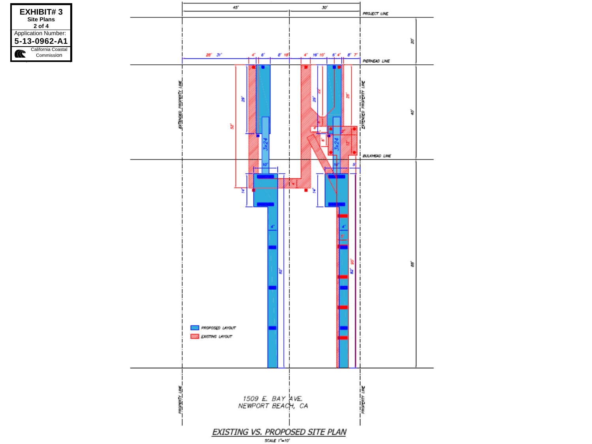

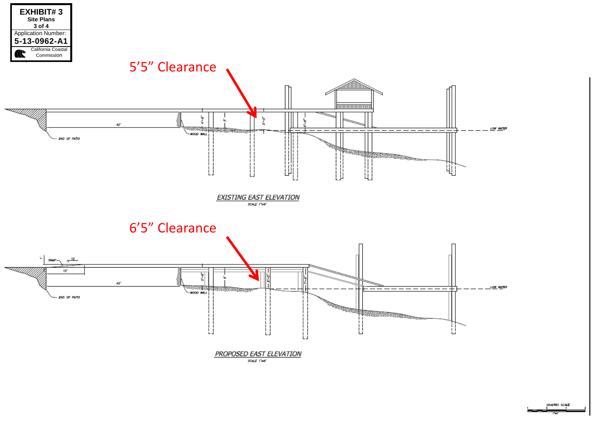

GRAPHIC SCALE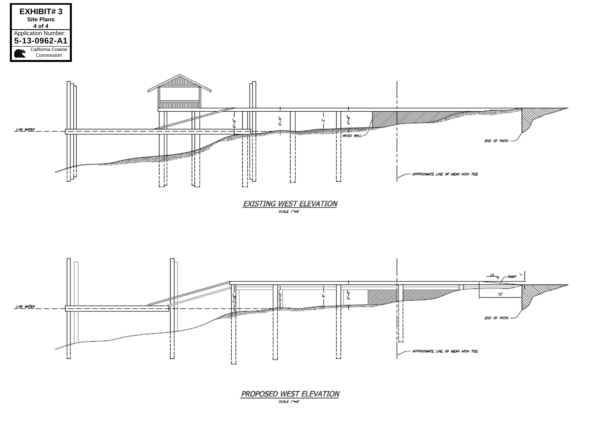





PROPOSED WEST ELEVATION

SCALE  $1 - 6$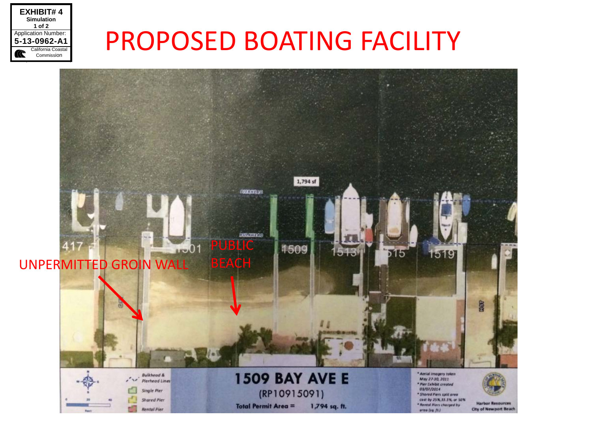

## PROPOSED BOATING FACILITY

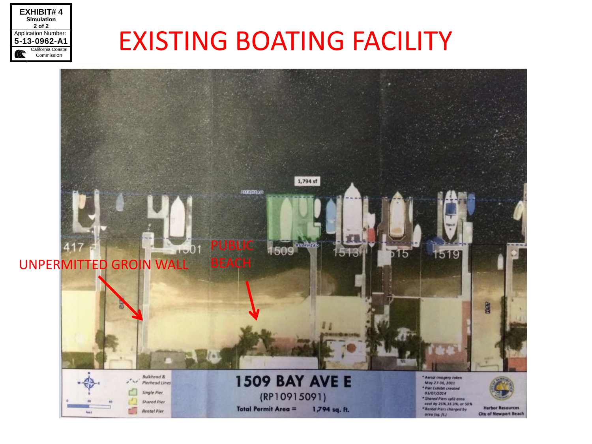

# EXISTING BOATING FACILITY

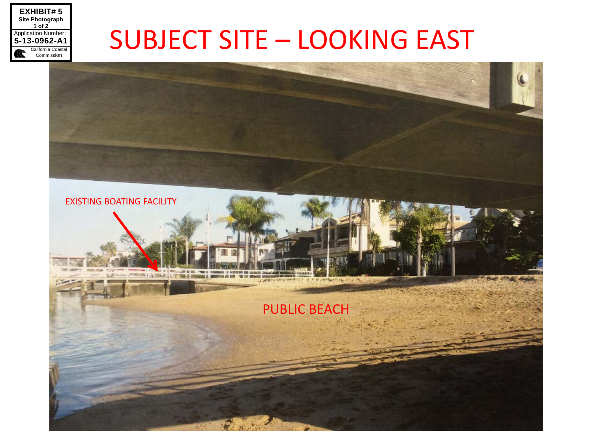

## SUBJECT SITE – LOOKING EAST